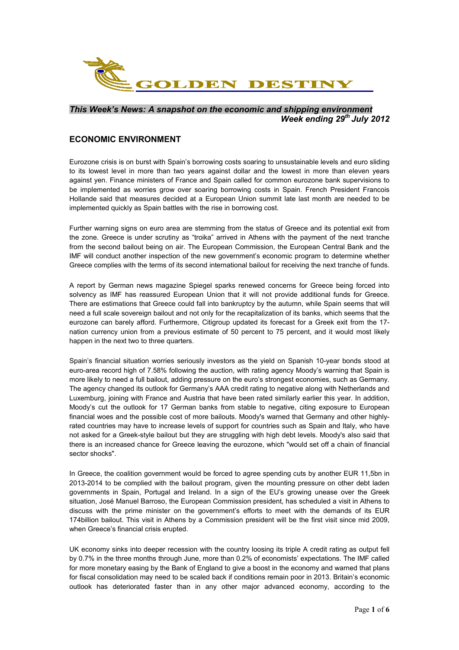

### *This Week's News: A snapshot on the economic and shipping environment Week ending 29th July 2012*

## **ECONOMIC ENVIRONMENT**

Eurozone crisis is on burst with Spain's borrowing costs soaring to unsustainable levels and euro sliding to its lowest level in more than two years against dollar and the lowest in more than eleven years against yen. Finance ministers of France and Spain called for common eurozone bank supervisions to be implemented as worries grow over soaring borrowing costs in Spain. French President Francois Hollande said that measures decided at a European Union summit late last month are needed to be implemented quickly as Spain battles with the rise in borrowing cost.

Further warning signs on euro area are stemming from the status of Greece and its potential exit from the zone. Greece is under scrutiny as "troika" arrived in Athens with the payment of the next tranche from the second bailout being on air. The European Commission, the European Central Bank and the IMF will conduct another inspection of the new government's economic program to determine whether Greece complies with the terms of its second international bailout for receiving the next tranche of funds.

A report by German news magazine Spiegel sparks renewed concerns for Greece being forced into solvency as IMF has reassured European Union that it will not provide additional funds for Greece. There are estimations that Greece could fall into bankruptcy by the autumn, while Spain seems that will need a full scale sovereign bailout and not only for the recapitalization of its banks, which seems that the eurozone can barely afford. Furthermore, Citigroup updated its forecast for a Greek exit from the 17 nation currency union from a previous estimate of 50 percent to 75 percent, and it would most likely happen in the next two to three quarters.

Spain's financial situation worries seriously investors as the yield on Spanish 10-year bonds stood at euro-area record high of 7.58% following the auction, with rating agency Moody's warning that Spain is more likely to need a full bailout, adding pressure on the euro's strongest economies, such as Germany. The agency changed its outlook for Germany's AAA credit rating to negative along with Netherlands and Luxemburg, joining with France and Austria that have been rated similarly earlier this year. In addition, Moody's cut the outlook for 17 German banks from stable to negative, citing exposure to European financial woes and the possible cost of more bailouts. Moody's warned that Germany and other highlyrated countries may have to increase levels of support for countries such as Spain and Italy, who have not asked for a Greek-style bailout but they are struggling with high debt levels. Moody's also said that there is an increased chance for Greece leaving the eurozone, which "would set off a chain of financial sector shocks".

In Greece, the coalition government would be forced to agree spending cuts by another EUR 11,5bn in 2013-2014 to be complied with the bailout program, given the mounting pressure on other debt laden governments in Spain, Portugal and Ireland. In a sign of the EU's growing unease over the Greek situation, José Manuel Barroso, the European Commission president, has scheduled a visit in Athens to discuss with the prime minister on the government's efforts to meet with the demands of its EUR 174billion bailout. This visit in Athens by a Commission president will be the first visit since mid 2009, when Greece's financial crisis erupted.

UK economy sinks into deeper recession with the country loosing its triple A credit rating as output fell by 0.7% in the three months through June, more than 0.2% of economists' expectations. The IMF called for more monetary easing by the Bank of England to give a boost in the economy and warned that plans for fiscal consolidation may need to be scaled back if conditions remain poor in 2013. Britain's economic outlook has deteriorated faster than in any other major advanced economy, according to the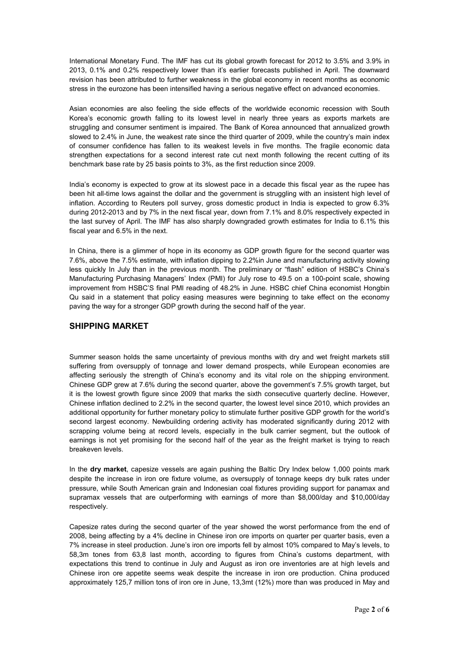International Monetary Fund. The IMF has cut its global growth forecast for 2012 to 3.5% and 3.9% in 2013, 0.1% and 0.2% respectively lower than it's earlier forecasts published in April. The downward revision has been attributed to further weakness in the global economy in recent months as economic stress in the eurozone has been intensified having a serious negative effect on advanced economies.

Asian economies are also feeling the side effects of the worldwide economic recession with South Korea's economic growth falling to its lowest level in nearly three years as exports markets are struggling and consumer sentiment is impaired. The Bank of Korea announced that annualized growth slowed to 2.4% in June, the weakest rate since the third quarter of 2009, while the country's main index of consumer confidence has fallen to its weakest levels in five months. The fragile economic data strengthen expectations for a second interest rate cut next month following the recent cutting of its benchmark base rate by 25 basis points to 3%, as the first reduction since 2009.

India's economy is expected to grow at its slowest pace in a decade this fiscal year as the rupee has been hit all-time lows against the dollar and the government is struggling with an insistent high level of inflation. According to Reuters poll survey, gross domestic product in India is expected to grow 6.3% during 2012-2013 and by 7% in the next fiscal year, down from 7.1% and 8.0% respectively expected in the last survey of April. The IMF has also sharply downgraded growth estimates for India to 6.1% this fiscal year and 6.5% in the next.

In China, there is a glimmer of hope in its economy as GDP growth figure for the second quarter was 7.6%, above the 7.5% estimate, with inflation dipping to 2.2%in June and manufacturing activity slowing less quickly In July than in the previous month. The preliminary or "flash" edition of HSBC's China's Manufacturing Purchasing Managers' Index (PMI) for July rose to 49.5 on a 100-point scale, showing improvement from HSBC'S final PMI reading of 48.2% in June. HSBC chief China economist Hongbin Qu said in a statement that policy easing measures were beginning to take effect on the economy paving the way for a stronger GDP growth during the second half of the year.

# **SHIPPING MARKET**

Summer season holds the same uncertainty of previous months with dry and wet freight markets still suffering from oversupply of tonnage and lower demand prospects, while European economies are affecting seriously the strength of China's economy and its vital role on the shipping environment. Chinese GDP grew at 7.6% during the second quarter, above the government's 7.5% growth target, but it is the lowest growth figure since 2009 that marks the sixth consecutive quarterly decline. However, Chinese inflation declined to 2.2% in the second quarter, the lowest level since 2010, which provides an additional opportunity for further monetary policy to stimulate further positive GDP growth for the world's second largest economy. Newbuilding ordering activity has moderated significantly during 2012 with scrapping volume being at record levels, especially in the bulk carrier segment, but the outlook of earnings is not yet promising for the second half of the year as the freight market is trying to reach breakeven levels.

In the **dry market**, capesize vessels are again pushing the Baltic Dry Index below 1,000 points mark despite the increase in iron ore fixture volume, as oversupply of tonnage keeps dry bulk rates under pressure, while South American grain and Indonesian coal fixtures providing support for panamax and supramax vessels that are outperforming with earnings of more than \$8,000/day and \$10,000/day respectively.

Capesize rates during the second quarter of the year showed the worst performance from the end of 2008, being affecting by a 4% decline in Chinese iron ore imports on quarter per quarter basis, even a 7% increase in steel production. June's iron ore imports fell by almost 10% compared to May's levels, to 58,3m tones from 63,8 last month, according to figures from China's customs department, with expectations this trend to continue in July and August as iron ore inventories are at high levels and Chinese iron ore appetite seems weak despite the increase in iron ore production. China produced approximately 125,7 million tons of iron ore in June, 13,3mt (12%) more than was produced in May and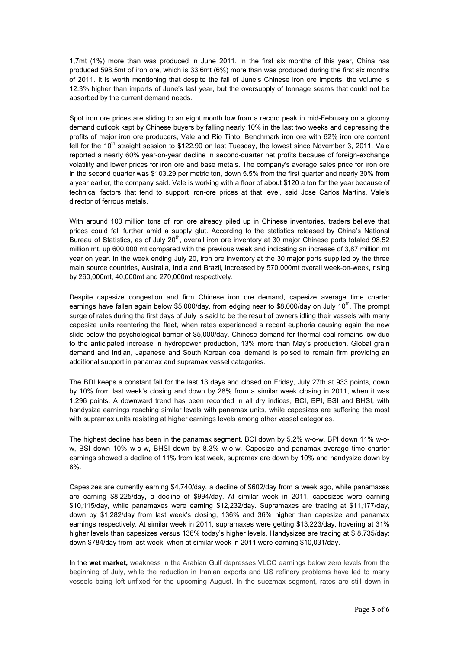1,7mt (1%) more than was produced in June 2011. In the first six months of this year, China has produced 598,5mt of iron ore, which is 33,6mt (6%) more than was produced during the first six months of 2011. It is worth mentioning that despite the fall of June's Chinese iron ore imports, the volume is 12.3% higher than imports of June's last year, but the oversupply of tonnage seems that could not be absorbed by the current demand needs.

Spot iron ore prices are sliding to an eight month low from a record peak in mid-February on a gloomy demand outlook kept by Chinese buyers by falling nearly 10% in the last two weeks and depressing the profits of major iron ore producers, Vale and Rio Tinto. Benchmark iron ore with 62% iron ore content fell for the  $10<sup>th</sup>$  straight session to \$122.90 on last Tuesday, the lowest since November 3, 2011. Vale reported a nearly 60% year-on-year decline in second-quarter net profits because of foreign-exchange volatility and lower prices for iron ore and base metals. The company's average sales price for iron ore in the second quarter was \$103.29 per metric ton, down 5.5% from the first quarter and nearly 30% from a year earlier, the company said. Vale is working with a floor of about \$120 a ton for the year because of technical factors that tend to support iron-ore prices at that level, said Jose Carlos Martins, Vale's director of ferrous metals.

With around 100 million tons of iron ore already piled up in Chinese inventories, traders believe that prices could fall further amid a supply glut. According to the statistics released by China's National Bureau of Statistics, as of July  $20<sup>th</sup>$ , overall iron ore inventory at 30 major Chinese ports totaled 98,52 million mt, up 600,000 mt compared with the previous week and indicating an increase of 3,87 million mt year on year. In the week ending July 20, iron ore inventory at the 30 major ports supplied by the three main source countries, Australia, India and Brazil, increased by 570,000mt overall week-on-week, rising by 260,000mt, 40,000mt and 270,000mt respectively.

Despite capesize congestion and firm Chinese iron ore demand, capesize average time charter earnings have fallen again below \$5,000/day, from edging near to \$8,000/day on July 10<sup>th</sup>. The prompt surge of rates during the first days of July is said to be the result of owners idling their vessels with many capesize units reentering the fleet, when rates experienced a recent euphoria causing again the new slide below the psychological barrier of \$5,000/day. Chinese demand for thermal coal remains low due to the anticipated increase in hydropower production, 13% more than May's production. Global grain demand and Indian, Japanese and South Korean coal demand is poised to remain firm providing an additional support in panamax and supramax vessel categories.

The BDI keeps a constant fall for the last 13 days and closed on Friday, July 27th at 933 points, down by 10% from last week's closing and down by 28% from a similar week closing in 2011, when it was 1,296 points. A downward trend has been recorded in all dry indices, BCI, BPI, BSI and BHSI, with handysize earnings reaching similar levels with panamax units, while capesizes are suffering the most with supramax units resisting at higher earnings levels among other vessel categories.

The highest decline has been in the panamax segment, BCI down by 5.2% w-o-w, BPI down 11% w-ow, BSI down 10% w-o-w, BHSI down by 8.3% w-o-w. Capesize and panamax average time charter earnings showed a decline of 11% from last week, supramax are down by 10% and handysize down by 8%.

Capesizes are currently earning \$4,740/day, a decline of \$602/day from a week ago, while panamaxes are earning \$8,225/day, a decline of \$994/day. At similar week in 2011, capesizes were earning \$10,115/day, while panamaxes were earning \$12,232/day. Supramaxes are trading at \$11,177/day, down by \$1,282/day from last week's closing, 136% and 36% higher than capesize and panamax earnings respectively. At similar week in 2011, supramaxes were getting \$13,223/day, hovering at 31% higher levels than capesizes versus 136% today's higher levels. Handysizes are trading at \$8,735/day; down \$784/day from last week, when at similar week in 2011 were earning \$10,031/day.

In the **wet market,** weakness in the Arabian Gulf depresses VLCC earnings below zero levels from the beginning of July, while the reduction in Iranian exports and US refinery problems have led to many vessels being left unfixed for the upcoming August. In the suezmax segment, rates are still down in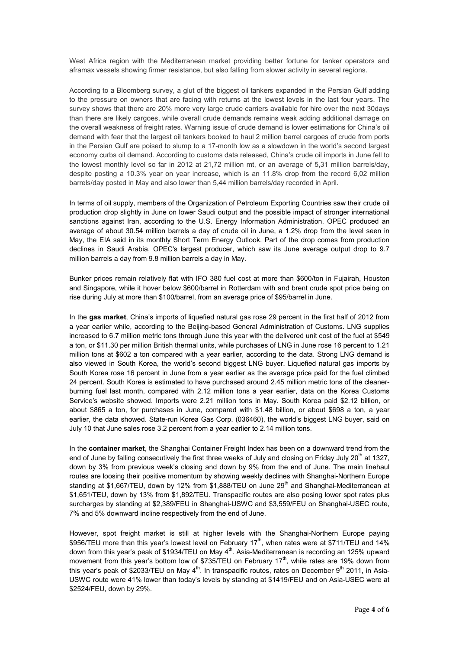West Africa region with the Mediterranean market providing better fortune for tanker operators and aframax vessels showing firmer resistance, but also falling from slower activity in several regions.

According to a Bloomberg survey, a glut of the biggest oil tankers expanded in the Persian Gulf adding to the pressure on owners that are facing with returns at the lowest levels in the last four years. The survey shows that there are 20% more very large crude carriers available for hire over the next 30days than there are likely cargoes, while overall crude demands remains weak adding additional damage on the overall weakness of freight rates. Warning issue of crude demand is lower estimations for China's oil demand with fear that the largest oil tankers booked to haul 2 million barrel cargoes of crude from ports in the Persian Gulf are poised to slump to a 17-month low as a slowdown in the world's second largest economy curbs oil demand. According to customs data released, China's crude oil imports in June fell to the lowest monthly level so far in 2012 at 21,72 million mt, or an average of 5,31 million barrels/day, despite posting a 10.3% year on year increase, which is an 11.8% drop from the record 6,02 million barrels/day posted in May and also lower than 5,44 million barrels/day recorded in April.

In terms of oil supply, members of the Organization of Petroleum Exporting Countries saw their crude oil production drop slightly in June on lower Saudi output and the possible impact of stronger international sanctions against Iran, according to the U.S. Energy Information Administration. OPEC produced an average of about 30.54 million barrels a day of crude oil in June, a 1.2% drop from the level seen in May, the EIA said in its monthly Short Term Energy Outlook. Part of the drop comes from production declines in Saudi Arabia, OPEC's largest producer, which saw its June average output drop to 9.7 million barrels a day from 9.8 million barrels a day in May.

Bunker prices remain relatively flat with IFO 380 fuel cost at more than \$600/ton in Fujairah, Houston and Singapore, while it hover below \$600/barrel in Rotterdam with and brent crude spot price being on rise during July at more than \$100/barrel, from an average price of \$95/barrel in June.

In the **gas market**, China's imports of liquefied natural gas rose 29 percent in the first half of 2012 from a year earlier while, according to the Beijing-based General Administration of Customs. LNG supplies increased to 6.7 million metric tons through June this year with the delivered unit cost of the fuel at \$549 a ton, or \$11.30 per million British thermal units, while purchases of LNG in June rose 16 percent to 1.21 million tons at \$602 a ton compared with a year earlier, according to the data. Strong LNG demand is also viewed in South Korea, the world's second biggest LNG buyer. Liquefied natural gas imports by South Korea rose 16 percent in June from a year earlier as the average price paid for the fuel climbed 24 percent. South Korea is estimated to have purchased around 2.45 million metric tons of the cleanerburning fuel last month, compared with 2.12 million tons a year earlier, data on the Korea Customs Service's website showed. Imports were 2.21 million tons in May. South Korea paid \$2.12 billion, or about \$865 a ton, for purchases in June, compared with \$1.48 billion, or about \$698 a ton, a year earlier, the data showed. State-run Korea Gas Corp. (036460), the world's biggest LNG buyer, said on July 10 that June sales rose 3.2 percent from a year earlier to 2.14 million tons.

In the **container market**, the Shanghai Container Freight Index has been on a downward trend from the end of June by falling consecutively the first three weeks of July and closing on Friday July 20<sup>th</sup> at 1327, down by 3% from previous week's closing and down by 9% from the end of June. The main linehaul routes are loosing their positive momentum by showing weekly declines with Shanghai-Northern Europe standing at \$1,667/TEU, down by 12% from \$1,888/TEU on June  $29<sup>th</sup>$  and Shanghai-Mediterranean at \$1,651/TEU, down by 13% from \$1,892/TEU. Transpacific routes are also posing lower spot rates plus surcharges by standing at \$2,389/FEU in Shanghai-USWC and \$3,559/FEU on Shanghai-USEC route, 7% and 5% downward incline respectively from the end of June.

However, spot freight market is still at higher levels with the Shanghai-Northern Europe paying \$956/TEU more than this year's lowest level on February 17<sup>th</sup>, when rates were at \$711/TEU and 14% down from this year's peak of \$1934/TEU on May 4<sup>th</sup>. Asia-Mediterranean is recording an 125% upward movement from this year's bottom low of \$735/TEU on February 17<sup>th</sup>, while rates are 19% down from this year's peak of \$2033/TEU on May  $4<sup>th</sup>$ . In transpacific routes, rates on December 9<sup>th</sup> 2011, in Asia-USWC route were 41% lower than today's levels by standing at \$1419/FEU and on Asia-USEC were at \$2524/FEU, down by 29%.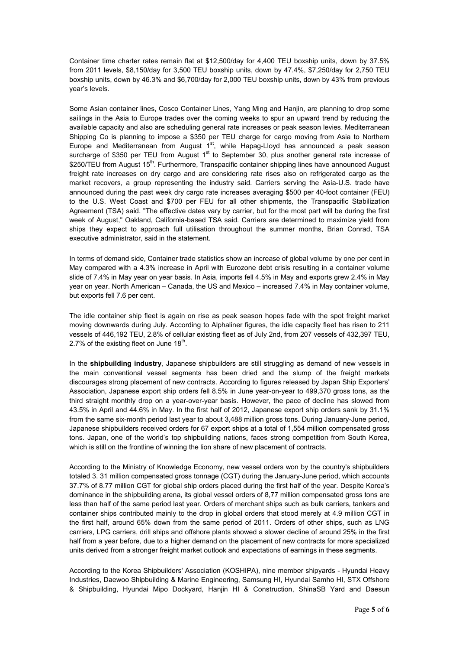Container time charter rates remain flat at \$12,500/day for 4,400 TEU boxship units, down by 37.5% from 2011 levels, \$8,150/day for 3,500 TEU boxship units, down by 47.4%, \$7,250/day for 2,750 TEU boxship units, down by 46.3% and \$6,700/day for 2,000 TEU boxship units, down by 43% from previous year's levels.

Some Asian container lines, Cosco Container Lines, Yang Ming and Hanjin, are planning to drop some sailings in the Asia to Europe trades over the coming weeks to spur an upward trend by reducing the available capacity and also are scheduling general rate increases or peak season levies. Mediterranean Shipping Co is planning to impose a \$350 per TEU charge for cargo moving from Asia to Northern Europe and Mediterranean from August  $1<sup>st</sup>$ , while Hapag-Lloyd has announced a peak season surcharge of \$350 per TEU from August  $1<sup>st</sup>$  to September 30, plus another general rate increase of \$250/TEU from August 15<sup>th</sup>. Furthermore, Transpacific container shipping lines have announced August freight rate increases on dry cargo and are considering rate rises also on refrigerated cargo as the market recovers, a group representing the industry said. Carriers serving the Asia-U.S. trade have announced during the past week dry cargo rate increases averaging \$500 per 40-foot container (FEU) to the U.S. West Coast and \$700 per FEU for all other shipments, the Transpacific Stabilization Agreement (TSA) said. "The effective dates vary by carrier, but for the most part will be during the first week of August," Oakland, California-based TSA said. Carriers are determined to maximize yield from ships they expect to approach full utilisation throughout the summer months, Brian Conrad, TSA executive administrator, said in the statement.

In terms of demand side, Container trade statistics show an increase of global volume by one per cent in May compared with a 4.3% increase in April with Eurozone debt crisis resulting in a container volume slide of 7.4% in May year on year basis. In Asia, imports fell 4.5% in May and exports grew 2.4% in May year on year. North American – Canada, the US and Mexico – increased 7.4% in May container volume, but exports fell 7.6 per cent.

The idle container ship fleet is again on rise as peak season hopes fade with the spot freight market moving downwards during July. According to Alphaliner figures, the idle capacity fleet has risen to 211 vessels of 446,192 TEU, 2.8% of cellular existing fleet as of July 2nd, from 207 vessels of 432,397 TEU, 2.7% of the existing fleet on June  $18<sup>th</sup>$ .

In the **shipbuilding industry**, Japanese shipbuilders are still struggling as demand of new vessels in the main conventional vessel segments has been dried and the slump of the freight markets discourages strong placement of new contracts. According to figures released by Japan Ship Exporters' Association, Japanese export ship orders fell 8.5% in June year-on-year to 499,370 gross tons, as the third straight monthly drop on a year-over-year basis. However, the pace of decline has slowed from 43.5% in April and 44.6% in May. In the first half of 2012, Japanese export ship orders sank by 31.1% from the same six-month period last year to about 3,488 million gross tons. During January-June period, Japanese shipbuilders received orders for 67 export ships at a total of 1,554 million compensated gross tons. Japan, one of the world's top shipbuilding nations, faces strong competition from South Korea, which is still on the frontline of winning the lion share of new placement of contracts.

According to the Ministry of Knowledge Economy, new vessel orders won by the country's shipbuilders totaled 3. 31 million compensated gross tonnage (CGT) during the January-June period, which accounts 37.7% of 8.77 million CGT for global ship orders placed during the first half of the year. Despite Korea's dominance in the shipbuilding arena, its global vessel orders of 8,77 million compensated gross tons are less than half of the same period last year. Orders of merchant ships such as bulk carriers, tankers and container ships contributed mainly to the drop in global orders that stood merely at 4.9 million CGT in the first half, around 65% down from the same period of 2011. Orders of other ships, such as LNG carriers, LPG carriers, drill ships and offshore plants showed a slower decline of around 25% in the first half from a year before, due to a higher demand on the placement of new contracts for more specialized units derived from a stronger freight market outlook and expectations of earnings in these segments.

According to the Korea Shipbuilders' Association (KOSHIPA), nine member shipyards - Hyundai Heavy Industries, Daewoo Shipbuilding & Marine Engineering, Samsung HI, Hyundai Samho HI, STX Offshore & Shipbuilding, Hyundai Mipo Dockyard, Hanjin HI & Construction, ShinaSB Yard and Daesun